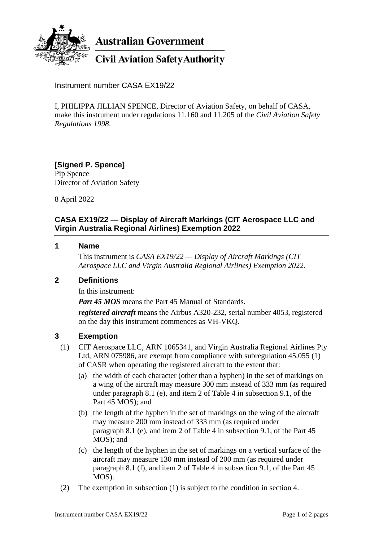

**Australian Government** 

# **Civil Aviation Safety Authority**

Instrument number CASA EX19/22

I, PHILIPPA JILLIAN SPENCE, Director of Aviation Safety, on behalf of CASA, make this instrument under regulations 11.160 and 11.205 of the *Civil Aviation Safety Regulations 1998*.

**[Signed P. Spence]** Pip Spence Director of Aviation Safety

8 April 2022

## **CASA EX19/22 — Display of Aircraft Markings (CIT Aerospace LLC and Virgin Australia Regional Airlines) Exemption 2022**

#### **1 Name**

This instrument is *CASA EX19/22 — Display of Aircraft Markings (CIT Aerospace LLC and Virgin Australia Regional Airlines) Exemption 2022*.

### **2 Definitions**

In this instrument:

*Part 45 MOS* means the Part 45 Manual of Standards.

*registered aircraft* means the Airbus A320-232, serial number 4053, registered on the day this instrument commences as VH-VKQ.

### **3 Exemption**

- (1) CIT Aerospace LLC, ARN 1065341, and Virgin Australia Regional Airlines Pty Ltd, ARN 075986, are exempt from compliance with subregulation 45.055 (1) of CASR when operating the registered aircraft to the extent that:
	- (a) the width of each character (other than a hyphen) in the set of markings on a wing of the aircraft may measure 300 mm instead of 333 mm (as required under paragraph 8.1 (e), and item 2 of Table 4 in subsection 9.1, of the Part 45 MOS); and
	- (b) the length of the hyphen in the set of markings on the wing of the aircraft may measure 200 mm instead of 333 mm (as required under paragraph 8.1 (e), and item 2 of Table 4 in subsection 9.1, of the Part 45 MOS); and
	- (c) the length of the hyphen in the set of markings on a vertical surface of the aircraft may measure 130 mm instead of 200 mm (as required under paragraph 8.1 (f), and item 2 of Table 4 in subsection 9.1, of the Part 45 MOS).
- (2) The exemption in subsection (1) is subject to the condition in section 4.